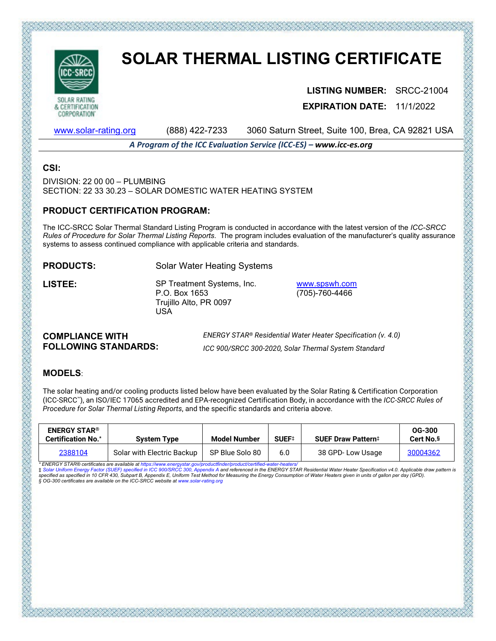

# **SOLAR THERMAL LISTING CERTIFICATE**

**LISTING NUMBER:** SRCC-21004 **EXPIRATION DATE:** 11/1/2022

[www.solar-rating.org](http://www.solar-rating.org/) (888) 422-7233 3060 Saturn Street, Suite 100, Brea, CA 92821 USA

*A Program of the ICC Evaluation Service (ICC-ES) – www.icc-es.org*

### **CSI:**

DIVISION: 22 00 00 – PLUMBING SECTION: 22 33 30.23 – SOLAR DOMESTIC WATER HEATING SYSTEM

### **PRODUCT CERTIFICATION PROGRAM:**

The ICC-SRCC Solar Thermal Standard Listing Program is conducted in accordance with the latest version of the *ICC-SRCC Rules of Procedure for Solar Thermal Listing Reports*. The program includes evaluation of the manufacturer's quality assurance systems to assess continued compliance with applicable criteria and standards.

**PRODUCTS:** Solar Water Heating Systems

**LISTEE:** SP Treatment Systems, Inc. P.O. Box 1653 Trujillo Alto, PR 0097 USA

[www.spswh.com](http://www.spswh.com/) (705)-760-4466

### **COMPLIANCE WITH FOLLOWING STANDARDS:**

*ENERGY STAR® Residential Water Heater Specification (v. 4.0) ICC 900/SRCC 300-2020, Solar Thermal System Standard*

# **MODELS**:

The solar heating and/or cooling products listed below have been evaluated by the Solar Rating & Certification Corporation (ICC-SRCC™), an ISO/IEC 17065 accredited and EPA-recognized Certification Body, in accordance with the *ICC-SRCC Rules of Procedure for Solar Thermal Listing Reports*, and the specific standards and criteria above.

| <b>ENERGY STAR®</b><br><b>Certification No.*</b> | <b>System Type</b>         | Model Number    | SUEF <sup>‡</sup> | <b>SUEF Draw Pattern</b> ‡ | <b>OG-300</b><br>Cert No. <sup>§</sup> |
|--------------------------------------------------|----------------------------|-----------------|-------------------|----------------------------|----------------------------------------|
| 2388104                                          | Solar with Electric Backup | SP Blue Solo 80 | 6.0               | 38 GPD-Low Usage           | 30004362                               |

\* ENERGY STAR® certificates are available at https://www.energystar.gov/productfinder/product/certified-water-heaters/<br>‡ Solar Uniform Energy Factor (SUEF) specified in ICC 900/SRCC 300, Appendix A and referenced in the EN ‡ Solar Uniform Energy Factor (SUEF) specified in ICC 900/SRCC 300, Appendix A and referenced in the ENERGY STAR Residential Water Heater Specification v4.0. Applicable draw pattern is<br>specified as specified in 10 CFR 430,

そうすいだいだいがたいだいがく こうかいかい こうかいせい じょうせいせい